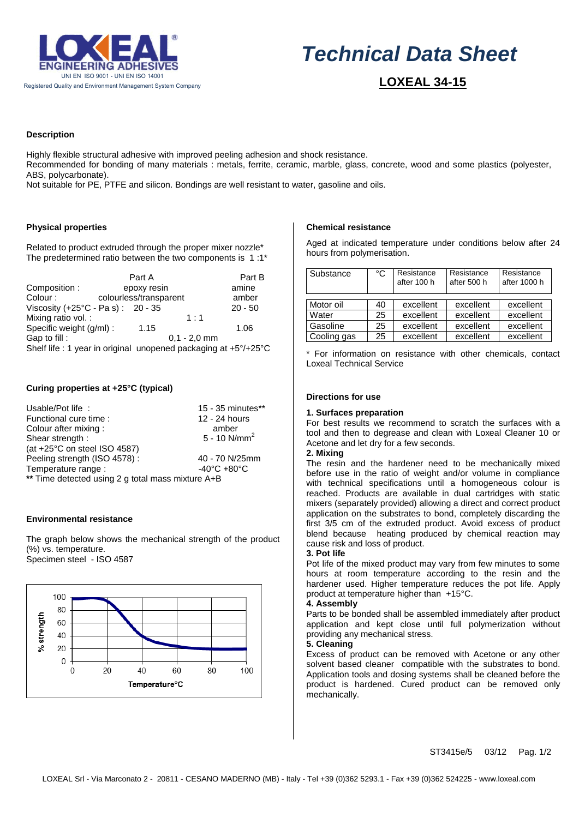

# *Technical Data Sheet*

 **LOXEAL 34-15**

# **Description**

Highly flexible structural adhesive with improved peeling adhesion and shock resistance.

Recommended for bonding of many materials : metals, ferrite, ceramic, marble, glass, concrete, wood and some plastics (polyester, ABS, polycarbonate).

Not suitable for PE, PTFE and silicon. Bondings are well resistant to water, gasoline and oils.

# **Physical properties**

Related to product extruded through the proper mixer nozzle\* The predetermined ratio between the two components is 1 :1\*

|                                                                 |                        | Part A      |                | Part B    |
|-----------------------------------------------------------------|------------------------|-------------|----------------|-----------|
| Composition:                                                    |                        | epoxy resin |                | amine     |
| Colour:                                                         | colourless/transparent |             |                | amber     |
| Viscosity (+25°C - Pa s): 20 - 35                               |                        |             |                | $20 - 50$ |
| Mixing ratio vol. :                                             |                        |             | 1:1            |           |
| Specific weight (g/ml) :                                        |                        | 1.15        |                | 1.06      |
| Gap to fill:                                                    |                        |             | $0.1 - 2.0$ mm |           |
| Shelf life : 1 year in original unopened packaging at +5°/+25°C |                        |             |                |           |

# **Curing properties at +25°C (typical)**

| Usable/Pot life:                                  | 15 - 35 minutes**               |  |  |  |
|---------------------------------------------------|---------------------------------|--|--|--|
| Functional cure time:                             | 12 - 24 hours                   |  |  |  |
| Colour after mixing:                              | amber                           |  |  |  |
| Shear strength:                                   | 5 - 10 $N/mm^2$                 |  |  |  |
| (at $+25^{\circ}$ C on steel ISO 4587)            |                                 |  |  |  |
| Peeling strength (ISO 4578):                      | 40 - 70 N/25mm                  |  |  |  |
| Temperature range :                               | $-40^{\circ}$ C $+80^{\circ}$ C |  |  |  |
| ** Time detected using 2 g total mass mixture A+B |                                 |  |  |  |

# **Environmental resistance**

The graph below shows the mechanical strength of the product (%) vs. temperature. Specimen steel - ISO 4587



# **Chemical resistance**

Aged at indicated temperature under conditions below after 24 hours from polymerisation.

| Substance   | °C | Resistance<br>after 100 h | Resistance<br>after 500 h | Resistance<br>after 1000 h |
|-------------|----|---------------------------|---------------------------|----------------------------|
|             |    |                           |                           |                            |
| Motor oil   | 40 | excellent                 | excellent                 | excellent                  |
| Water       | 25 | excellent                 | excellent                 | excellent                  |
| Gasoline    | 25 | excellent                 | excellent                 | excellent                  |
| Cooling gas | 25 | excellent                 | excellent                 | excellent                  |

\* For information on resistance with other chemicals, contact Loxeal Technical Service

### **Directions for use**

## **1. Surfaces preparation**

For best results we recommend to scratch the surfaces with a tool and then to degrease and clean with Loxeal Cleaner 10 or Acetone and let dry for a few seconds.

# **2. Mixing**

The resin and the hardener need to be mechanically mixed before use in the ratio of weight and/or volume in compliance with technical specifications until a homogeneous colour is reached. Products are available in dual cartridges with static mixers (separately provided) allowing a direct and correct product application on the substrates to bond, completely discarding the first 3/5 cm of the extruded product. Avoid excess of product blend because heating produced by chemical reaction may cause risk and loss of product.

#### **3. Pot life**

Pot life of the mixed product may vary from few minutes to some hours at room temperature according to the resin and the hardener used. Higher temperature reduces the pot life. Apply product at temperature higher than +15°C.

#### **4. Assembly**

Parts to be bonded shall be assembled immediately after product application and kept close until full polymerization without providing any mechanical stress.

#### **5. Cleaning**

Excess of product can be removed with Acetone or any other solvent based cleaner compatible with the substrates to bond. Application tools and dosing systems shall be cleaned before the product is hardened. Cured product can be removed only mechanically.

ST3415e/5 03/12 Pag. 1/2